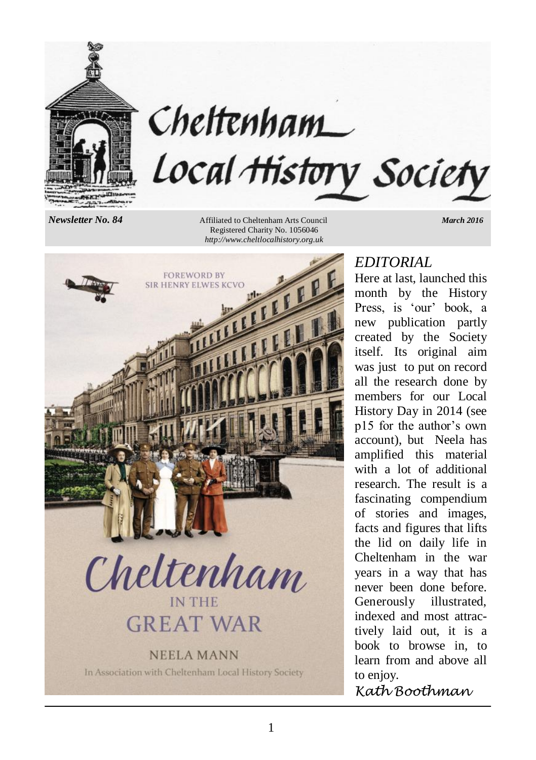

# Cheltenham Local History Society

*Newsletter No. 84* **Affiliated to Cheltenham Arts Council** *March 2016**March 2016*  Registered Charity No. 1056046 *http://www.cheltlocalhistory.org.uk*



# *EDITORIAL*

Here at last, launched this month by the History Press, is 'our' book, a new publication partly created by the Society itself. Its original aim was just to put on record all the research done by members for our Local History Day in 2014 (see p15 for the author's own account), but Neela has amplified this material with a lot of additional research. The result is a fascinating compendium of stories and images, facts and figures that lifts the lid on daily life in Cheltenham in the war years in a way that has never been done before. Generously illustrated, indexed and most attractively laid out, it is a book to browse in, to learn from and above all to enjoy.

*Kath Boothman*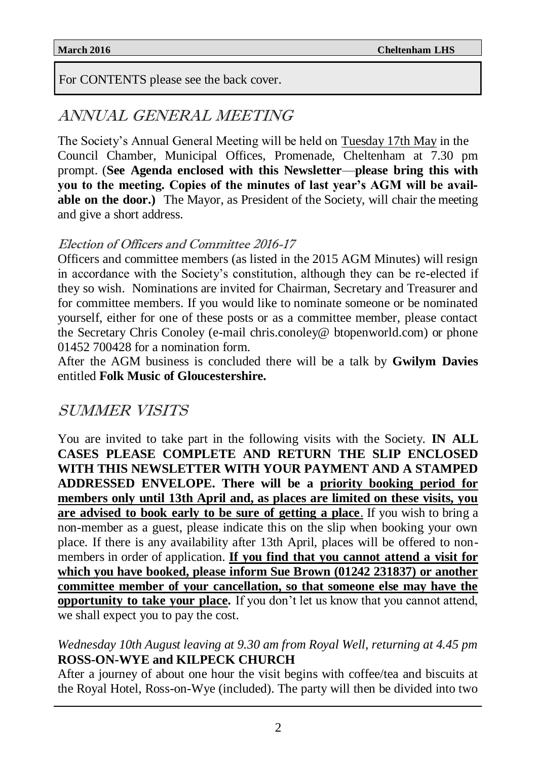For CONTENTS please see the back cover.

# ANNUAL GENERAL MEETING

The Society's Annual General Meeting will be held on Tuesday 17th May in the Council Chamber, Municipal Offices, Promenade, Cheltenham at 7.30 pm prompt. (**See Agenda enclosed with this Newsletter**—**please bring this with you to the meeting. Copies of the minutes of last year's AGM will be available on the door.)** The Mayor, as President of the Society, will chair the meeting and give a short address.

### Election of Officers and Committee 2016-17

Officers and committee members (as listed in the 2015 AGM Minutes) will resign in accordance with the Society's constitution, although they can be re-elected if they so wish. Nominations are invited for Chairman, Secretary and Treasurer and for committee members. If you would like to nominate someone or be nominated yourself, either for one of these posts or as a committee member, please contact the Secretary Chris Conoley (e-mail chris.conoley@ btopenworld.com) or phone 01452 700428 for a nomination form.

After the AGM business is concluded there will be a talk by **Gwilym Davies**  entitled **Folk Music of Gloucestershire.**

# SUMMER VISITS

You are invited to take part in the following visits with the Society. **IN ALL CASES PLEASE COMPLETE AND RETURN THE SLIP ENCLOSED WITH THIS NEWSLETTER WITH YOUR PAYMENT AND A STAMPED ADDRESSED ENVELOPE. There will be a priority booking period for members only until 13th April and, as places are limited on these visits, you are advised to book early to be sure of getting a place**. If you wish to bring a non-member as a guest, please indicate this on the slip when booking your own place. If there is any availability after 13th April, places will be offered to nonmembers in order of application. **If you find that you cannot attend a visit for which you have booked, please inform Sue Brown (01242 231837) or another committee member of your cancellation, so that someone else may have the opportunity to take your place.** If you don't let us know that you cannot attend, we shall expect you to pay the cost.

#### *Wednesday 10th August leaving at 9.30 am from Royal Well, returning at 4.45 pm* **ROSS-ON-WYE and KILPECK CHURCH**

After a journey of about one hour the visit begins with coffee/tea and biscuits at the Royal Hotel, Ross-on-Wye (included). The party will then be divided into two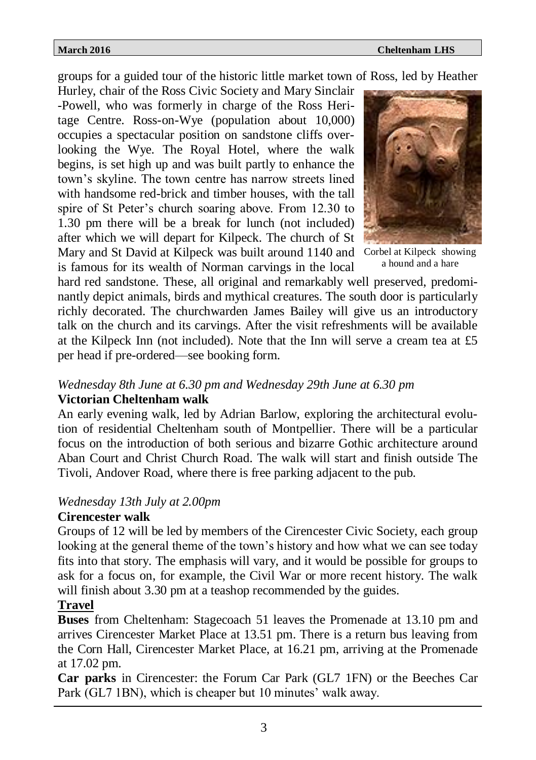groups for a guided tour of the historic little market town of Ross, led by Heather

Hurley, chair of the Ross Civic Society and Mary Sinclair -Powell, who was formerly in charge of the Ross Heritage Centre. Ross-on-Wye (population about 10,000) occupies a spectacular position on sandstone cliffs overlooking the Wye. The Royal Hotel, where the walk begins, is set high up and was built partly to enhance the town's skyline. The town centre has narrow streets lined with handsome red-brick and timber houses, with the tall spire of St Peter's church soaring above. From 12.30 to 1.30 pm there will be a break for lunch (not included) after which we will depart for Kilpeck. The church of St Mary and St David at Kilpeck was built around 1140 and Corbel at Kilpeck showing is famous for its wealth of Norman carvings in the local



a hound and a hare

hard red sandstone. These, all original and remarkably well preserved, predominantly depict animals, birds and mythical creatures. The south door is particularly richly decorated. The churchwarden James Bailey will give us an introductory talk on the church and its carvings. After the visit refreshments will be available at the Kilpeck Inn (not included). Note that the Inn will serve a cream tea at £5 per head if pre-ordered—see booking form.

#### *Wednesday 8th June at 6.30 pm and Wednesday 29th June at 6.30 pm* **Victorian Cheltenham walk**

An early evening walk, led by Adrian Barlow, exploring the architectural evolution of residential Cheltenham south of Montpellier. There will be a particular focus on the introduction of both serious and bizarre Gothic architecture around Aban Court and Christ Church Road. The walk will start and finish outside The Tivoli, Andover Road, where there is free parking adjacent to the pub.

#### *Wednesday 13th July at 2.00pm*

#### **Cirencester walk**

Groups of 12 will be led by members of the Cirencester Civic Society, each group looking at the general theme of the town's history and how what we can see today fits into that story. The emphasis will vary, and it would be possible for groups to ask for a focus on, for example, the Civil War or more recent history. The walk will finish about 3.30 pm at a teashop recommended by the guides.

#### **Travel**

**Buses** from Cheltenham: Stagecoach 51 leaves the Promenade at 13.10 pm and arrives Cirencester Market Place at 13.51 pm. There is a return bus leaving from the Corn Hall, Cirencester Market Place, at 16.21 pm, arriving at the Promenade at 17.02 pm.

**Car parks** in Cirencester: the Forum Car Park (GL7 1FN) or the Beeches Car Park (GL7 1BN), which is cheaper but 10 minutes' walk away.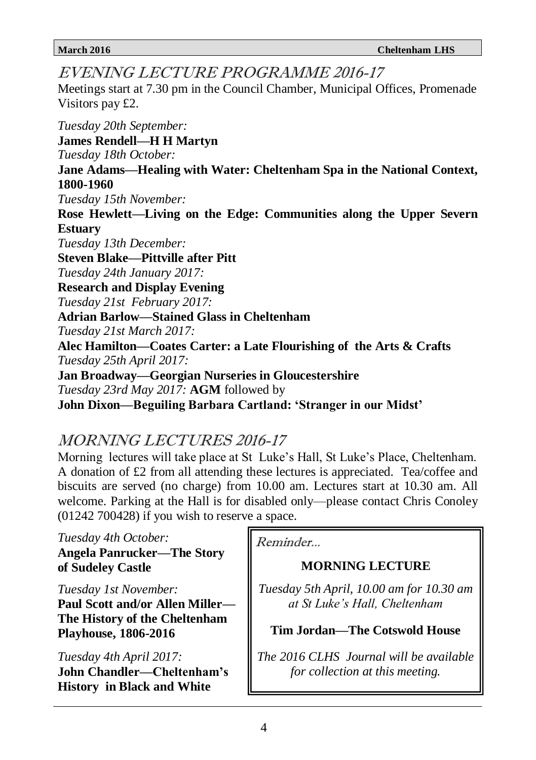EVENING LECTURE PROGRAMME 2016-17

Meetings start at 7.30 pm in the Council Chamber, Municipal Offices, Promenade Visitors pay £2.

*Tuesday 20th September:* **James Rendell—H H Martyn** *Tuesday 18th October:* **Jane Adams—Healing with Water: Cheltenham Spa in the National Context, 1800-1960** *Tuesday 15th November:* **Rose Hewlett—Living on the Edge: Communities along the Upper Severn Estuary** *Tuesday 13th December:* **Steven Blake—Pittville after Pitt** *Tuesday 24th January 2017:* **Research and Display Evening** *Tuesday 21st February 2017:* **Adrian Barlow—Stained Glass in Cheltenham** *Tuesday 21st March 2017:* **Alec Hamilton—Coates Carter: a Late Flourishing of the Arts & Crafts** *Tuesday 25th April 2017:* **Jan Broadway—Georgian Nurseries in Gloucestershire** *Tuesday 23rd May 2017:* **AGM** followed by **John Dixon—Beguiling Barbara Cartland: 'Stranger in our Midst'**

# MORNING LECTURES 2016-17

Morning lectures will take place at St Luke's Hall, St Luke's Place, Cheltenham. A donation of £2 from all attending these lectures is appreciated. Tea/coffee and biscuits are served (no charge) from 10.00 am. Lectures start at 10.30 am. All welcome. Parking at the Hall is for disabled only—please contact Chris Conoley (01242 700428) if you wish to reserve a space.

#### *Tuesday 4th October:*

**Angela Panrucker—The Story of Sudeley Castle**

*Tuesday 1st November:*

**Paul Scott and/or Allen Miller— The History of the Cheltenham Playhouse, 1806-2016**

*Tuesday 4th April 2017:* **John Chandler—Cheltenham's History in Black and White**

Reminder...

### **MORNING LECTURE**

*Tuesday 5th April, 10.00 am for 10.30 am at St Luke's Hall, Cheltenham*

#### **Tim Jordan—The Cotswold House**

*The 2016 CLHS Journal will be available for collection at this meeting.*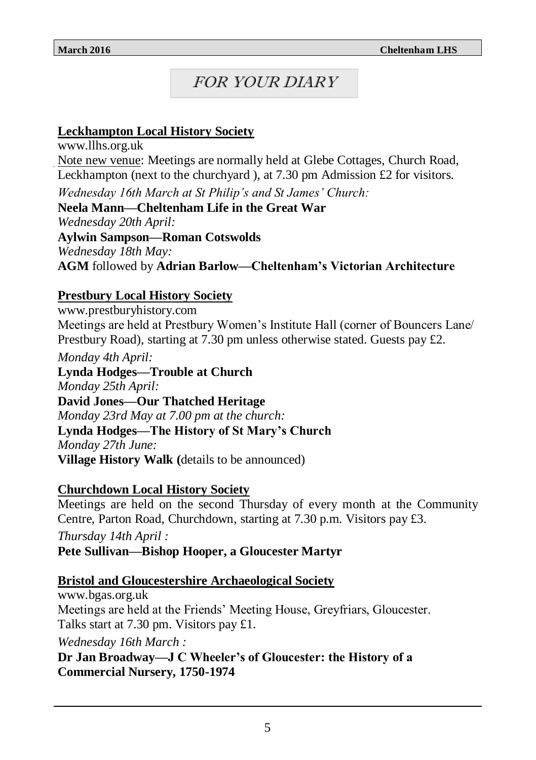# FOR YOUR DIARY

### **Leckhampton Local History Society**

www.llhs.org.uk Note new venue: Meetings are normally held at Glebe Cottages, Church Road, Leckhampton (next to the churchyard ), at 7.30 pm Admission £2 for visitors.

*Wednesday 16th March at St Philip's and St James' Church:* **Neela Mann—Cheltenham Life in the Great War** *Wednesday 20th April:* **Aylwin Sampson—Roman Cotswolds** *Wednesday 18th May:* **AGM** followed by **Adrian Barlow—Cheltenham's Victorian Architecture**

### **Prestbury Local History Society**

www.prestburyhistory.com Meetings are held at Prestbury Women's Institute Hall (corner of Bouncers Lane/ Prestbury Road), starting at 7.30 pm unless otherwise stated. Guests pay  $\pounds$ .

*Monday 4th April:*

**Lynda Hodges—Trouble at Church** *Monday 25th April:* **David Jones—Our Thatched Heritage** *Monday 23rd May at 7.00 pm at the church:* **Lynda Hodges—The History of St Mary's Church** *Monday 27th June:* **Village History Walk (**details to be announced)

#### **Churchdown Local History Society**

Meetings are held on the second Thursday of every month at the Community Centre, Parton Road, Churchdown, starting at 7.30 p.m. Visitors pay £3.

*Thursday 14th April :* **Pete Sullivan—Bishop Hooper, a Gloucester Martyr**

#### **Bristol and Gloucestershire Archaeological Society**

www.bgas.org.uk Meetings are held at the Friends' Meeting House, Greyfriars, Gloucester. Talks start at 7.30 pm. Visitors pay £1. *Wednesday 16th March :* **Dr Jan Broadway—J C Wheeler's of Gloucester: the History of a Commercial Nursery, 1750-1974**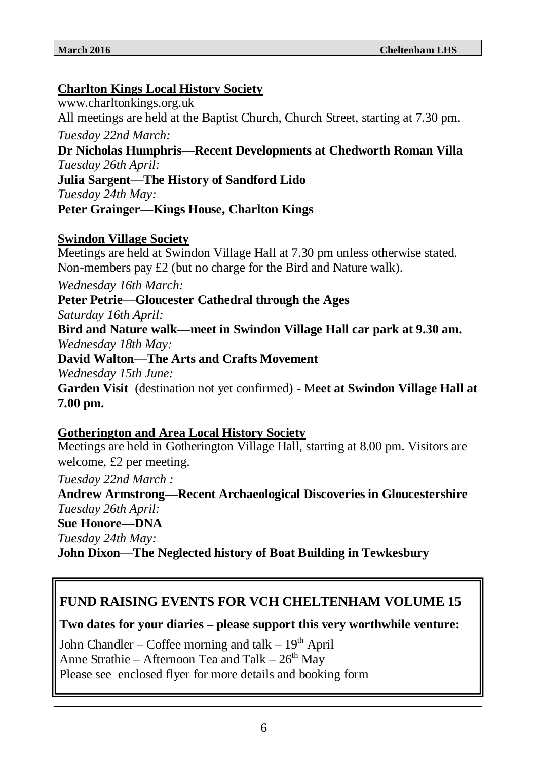### **Charlton Kings Local History Society**

www.charltonkings.org.uk All meetings are held at the Baptist Church, Church Street, starting at 7.30 pm.

*Tuesday 22nd March:*

**Dr Nicholas Humphris—Recent Developments at Chedworth Roman Villa** *Tuesday 26th April:*

**Julia Sargent—The History of Sandford Lido** *Tuesday 24th May:*

#### **Peter Grainger—Kings House, Charlton Kings**

#### **Swindon Village Society**

Meetings are held at Swindon Village Hall at 7.30 pm unless otherwise stated. Non-members pay £2 (but no charge for the Bird and Nature walk).

*Wednesday 16th March:*

**Peter Petrie—Gloucester Cathedral through the Ages**

*Saturday 16th April:*

**Bird and Nature walk—meet in Swindon Village Hall car park at 9.30 am.** *Wednesday 18th May:*

#### **David Walton—The Arts and Crafts Movement**

*Wednesday 15th June:*

**Garden Visit** (destination not yet confirmed) - M**eet at Swindon Village Hall at 7.00 pm.**

#### **Gotherington and Area Local History Society**

Meetings are held in Gotherington Village Hall, starting at 8.00 pm. Visitors are welcome, £2 per meeting.

*Tuesday 22nd March :*

**Andrew Armstrong—Recent Archaeological Discoveries in Gloucestershire** *Tuesday 26th April:*

#### **Sue Honore—DNA**

*Tuesday 24th May:*

**John Dixon—The Neglected history of Boat Building in Tewkesbury**

### **FUND RAISING EVENTS FOR VCH CHELTENHAM VOLUME 15**

**Two dates for your diaries – please support this very worthwhile venture:**

John Chandler – Coffee morning and talk –  $19<sup>th</sup>$  April Anne Strathie – Afternoon Tea and Talk –  $26<sup>th</sup>$  May Please see enclosed flyer for more details and booking form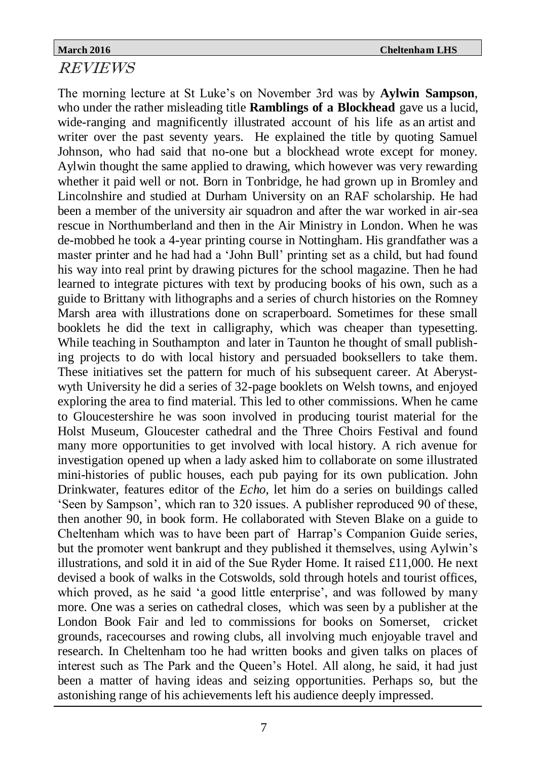### REVIEWS

The morning lecture at St Luke's on November 3rd was by **Aylwin Sampson**, who under the rather misleading title **Ramblings of a Blockhead** gave us a lucid, wide-ranging and magnificently illustrated account of his life as an artist and writer over the past seventy years. He explained the title by quoting Samuel Johnson, who had said that no-one but a blockhead wrote except for money. Aylwin thought the same applied to drawing, which however was very rewarding whether it paid well or not. Born in Tonbridge, he had grown up in Bromley and Lincolnshire and studied at Durham University on an RAF scholarship. He had been a member of the university air squadron and after the war worked in air-sea rescue in Northumberland and then in the Air Ministry in London. When he was de-mobbed he took a 4-year printing course in Nottingham. His grandfather was a master printer and he had had a 'John Bull' printing set as a child, but had found his way into real print by drawing pictures for the school magazine. Then he had learned to integrate pictures with text by producing books of his own, such as a guide to Brittany with lithographs and a series of church histories on the Romney Marsh area with illustrations done on scraperboard. Sometimes for these small booklets he did the text in calligraphy, which was cheaper than typesetting. While teaching in Southampton and later in Taunton he thought of small publishing projects to do with local history and persuaded booksellers to take them. These initiatives set the pattern for much of his subsequent career. At Aberystwyth University he did a series of 32-page booklets on Welsh towns, and enjoyed exploring the area to find material. This led to other commissions. When he came to Gloucestershire he was soon involved in producing tourist material for the Holst Museum, Gloucester cathedral and the Three Choirs Festival and found many more opportunities to get involved with local history. A rich avenue for investigation opened up when a lady asked him to collaborate on some illustrated mini-histories of public houses, each pub paying for its own publication. John Drinkwater, features editor of the *Echo*, let him do a series on buildings called 'Seen by Sampson', which ran to 320 issues. A publisher reproduced 90 of these, then another 90, in book form. He collaborated with Steven Blake on a guide to Cheltenham which was to have been part of Harrap's Companion Guide series, but the promoter went bankrupt and they published it themselves, using Aylwin's illustrations, and sold it in aid of the Sue Ryder Home. It raised £11,000. He next devised a book of walks in the Cotswolds, sold through hotels and tourist offices, which proved, as he said 'a good little enterprise', and was followed by many more. One was a series on cathedral closes, which was seen by a publisher at the London Book Fair and led to commissions for books on Somerset, cricket grounds, racecourses and rowing clubs, all involving much enjoyable travel and research. In Cheltenham too he had written books and given talks on places of interest such as The Park and the Queen's Hotel. All along, he said, it had just been a matter of having ideas and seizing opportunities. Perhaps so, but the astonishing range of his achievements left his audience deeply impressed.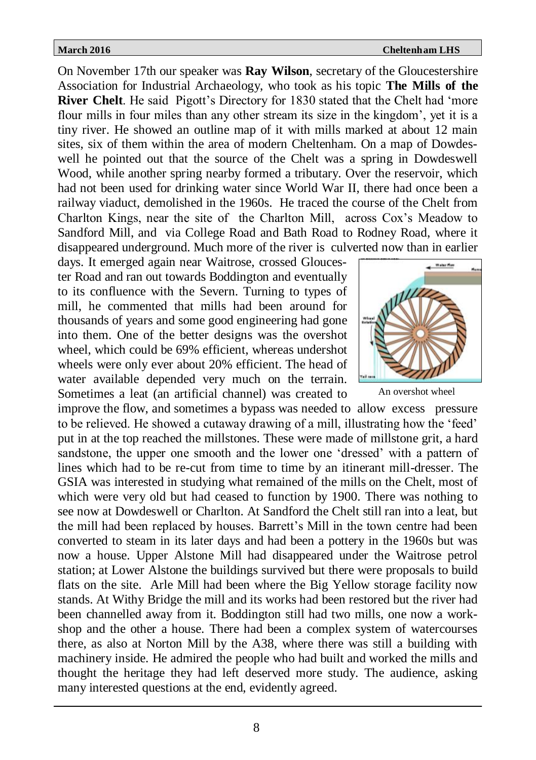On November 17th our speaker was **Ray Wilson**, secretary of the Gloucestershire Association for Industrial Archaeology, who took as his topic **The Mills of the River Chelt**. He said Pigott's Directory for 1830 stated that the Chelt had 'more flour mills in four miles than any other stream its size in the kingdom', yet it is a tiny river. He showed an outline map of it with mills marked at about 12 main sites, six of them within the area of modern Cheltenham. On a map of Dowdeswell he pointed out that the source of the Chelt was a spring in Dowdeswell Wood, while another spring nearby formed a tributary. Over the reservoir, which had not been used for drinking water since World War II, there had once been a railway viaduct, demolished in the 1960s. He traced the course of the Chelt from Charlton Kings, near the site of the Charlton Mill, across Cox's Meadow to Sandford Mill, and via College Road and Bath Road to Rodney Road, where it disappeared underground. Much more of the river is culverted now than in earlier

days. It emerged again near Waitrose, crossed Gloucester Road and ran out towards Boddington and eventually to its confluence with the Severn. Turning to types of mill, he commented that mills had been around for thousands of years and some good engineering had gone into them. One of the better designs was the overshot wheel, which could be 69% efficient, whereas undershot wheels were only ever about 20% efficient. The head of water available depended very much on the terrain. Sometimes a leat (an artificial channel) was created to



An overshot wheel

improve the flow, and sometimes a bypass was needed to allow excess pressure to be relieved. He showed a cutaway drawing of a mill, illustrating how the 'feed' put in at the top reached the millstones. These were made of millstone grit, a hard sandstone, the upper one smooth and the lower one 'dressed' with a pattern of lines which had to be re-cut from time to time by an itinerant mill-dresser. The GSIA was interested in studying what remained of the mills on the Chelt, most of which were very old but had ceased to function by 1900. There was nothing to see now at Dowdeswell or Charlton. At Sandford the Chelt still ran into a leat, but the mill had been replaced by houses. Barrett's Mill in the town centre had been converted to steam in its later days and had been a pottery in the 1960s but was now a house. Upper Alstone Mill had disappeared under the Waitrose petrol station; at Lower Alstone the buildings survived but there were proposals to build flats on the site. Arle Mill had been where the Big Yellow storage facility now stands. At Withy Bridge the mill and its works had been restored but the river had been channelled away from it. Boddington still had two mills, one now a workshop and the other a house. There had been a complex system of watercourses there, as also at Norton Mill by the A38, where there was still a building with machinery inside. He admired the people who had built and worked the mills and thought the heritage they had left deserved more study. The audience, asking many interested questions at the end, evidently agreed.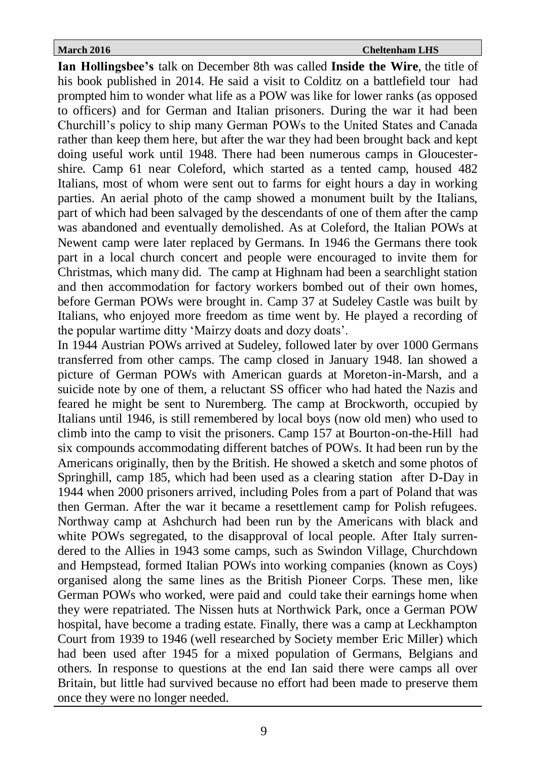**Ian Hollingsbee's** talk on December 8th was called **Inside the Wire**, the title of his book published in 2014. He said a visit to Colditz on a battlefield tour had prompted him to wonder what life as a POW was like for lower ranks (as opposed to officers) and for German and Italian prisoners. During the war it had been Churchill's policy to ship many German POWs to the United States and Canada rather than keep them here, but after the war they had been brought back and kept doing useful work until 1948. There had been numerous camps in Gloucestershire. Camp 61 near Coleford, which started as a tented camp, housed 482 Italians, most of whom were sent out to farms for eight hours a day in working parties. An aerial photo of the camp showed a monument built by the Italians, part of which had been salvaged by the descendants of one of them after the camp was abandoned and eventually demolished. As at Coleford, the Italian POWs at Newent camp were later replaced by Germans. In 1946 the Germans there took part in a local church concert and people were encouraged to invite them for Christmas, which many did. The camp at Highnam had been a searchlight station and then accommodation for factory workers bombed out of their own homes, before German POWs were brought in. Camp 37 at Sudeley Castle was built by Italians, who enjoyed more freedom as time went by. He played a recording of the popular wartime ditty 'Mairzy doats and dozy doats'.

In 1944 Austrian POWs arrived at Sudeley, followed later by over 1000 Germans transferred from other camps. The camp closed in January 1948. Ian showed a picture of German POWs with American guards at Moreton-in-Marsh, and a suicide note by one of them, a reluctant SS officer who had hated the Nazis and feared he might be sent to Nuremberg. The camp at Brockworth, occupied by Italians until 1946, is still remembered by local boys (now old men) who used to climb into the camp to visit the prisoners. Camp 157 at Bourton-on-the-Hill had six compounds accommodating different batches of POWs. It had been run by the Americans originally, then by the British. He showed a sketch and some photos of Springhill, camp 185, which had been used as a clearing station after D-Day in 1944 when 2000 prisoners arrived, including Poles from a part of Poland that was then German. After the war it became a resettlement camp for Polish refugees. Northway camp at Ashchurch had been run by the Americans with black and white POWs segregated, to the disapproval of local people. After Italy surrendered to the Allies in 1943 some camps, such as Swindon Village, Churchdown and Hempstead, formed Italian POWs into working companies (known as Coys) organised along the same lines as the British Pioneer Corps. These men, like German POWs who worked, were paid and could take their earnings home when they were repatriated. The Nissen huts at Northwick Park, once a German POW hospital, have become a trading estate. Finally, there was a camp at Leckhampton Court from 1939 to 1946 (well researched by Society member Eric Miller) which had been used after 1945 for a mixed population of Germans, Belgians and others. In response to questions at the end Ian said there were camps all over Britain, but little had survived because no effort had been made to preserve them once they were no longer needed.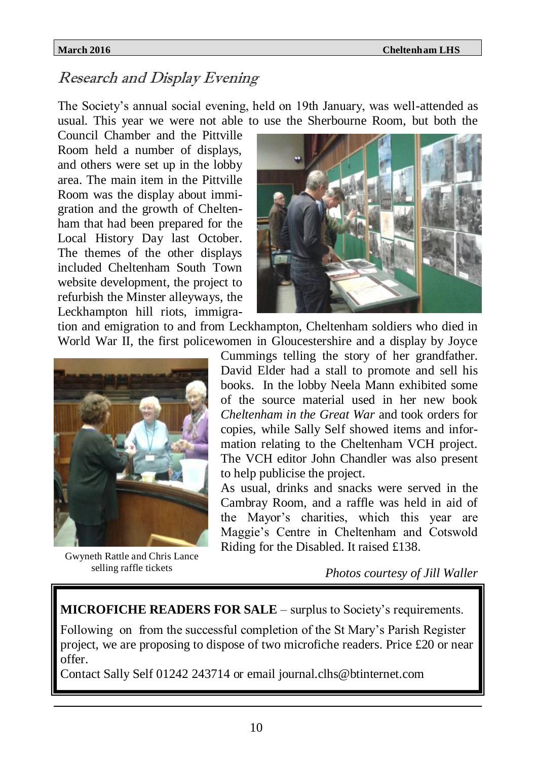# Research and Display Evening

The Society's annual social evening, held on 19th January, was well-attended as usual. This year we were not able to use the Sherbourne Room, but both the

Council Chamber and the Pittville Room held a number of displays, and others were set up in the lobby area. The main item in the Pittville Room was the display about immigration and the growth of Cheltenham that had been prepared for the Local History Day last October. The themes of the other displays included Cheltenham South Town website development, the project to refurbish the Minster alleyways, the Leckhampton hill riots, immigra-



tion and emigration to and from Leckhampton, Cheltenham soldiers who died in World War II, the first policewomen in Gloucestershire and a display by Joyce



Gwyneth Rattle and Chris Lance selling raffle tickets

Cummings telling the story of her grandfather. David Elder had a stall to promote and sell his books. In the lobby Neela Mann exhibited some of the source material used in her new book *Cheltenham in the Great War* and took orders for copies, while Sally Self showed items and information relating to the Cheltenham VCH project. The VCH editor John Chandler was also present to help publicise the project.

As usual, drinks and snacks were served in the Cambray Room, and a raffle was held in aid of the Mayor's charities, which this year are Maggie's Centre in Cheltenham and Cotswold Riding for the Disabled. It raised £138.

 *Photos courtesy of Jill Waller*

**MICROFICHE READERS FOR SALE** – surplus to Society's requirements.

Following on from the successful completion of the St Mary's Parish Register project, we are proposing to dispose of two microfiche readers. Price £20 or near offer.

Contact Sally Self 01242 243714 or email journal.clhs@btinternet.com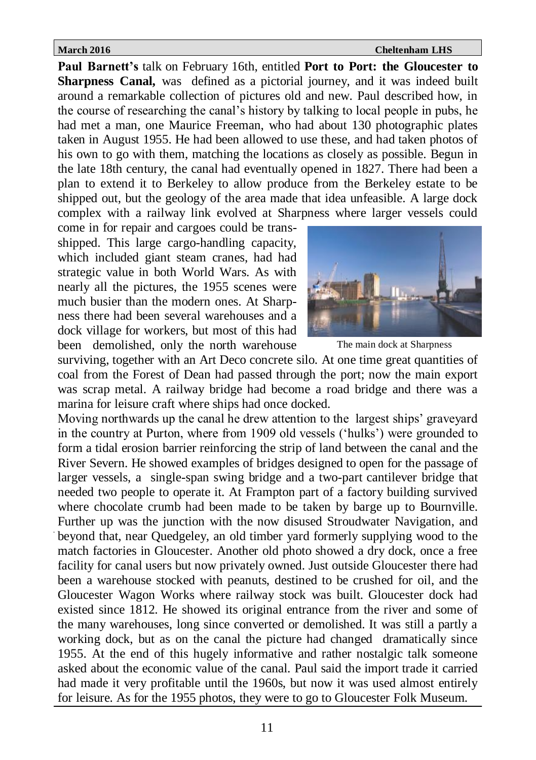**Paul Barnett's** talk on February 16th, entitled **Port to Port: the Gloucester to Sharpness Canal,** was defined as a pictorial journey, and it was indeed built around a remarkable collection of pictures old and new. Paul described how, in the course of researching the canal's history by talking to local people in pubs, he had met a man, one Maurice Freeman, who had about 130 photographic plates taken in August 1955. He had been allowed to use these, and had taken photos of his own to go with them, matching the locations as closely as possible. Begun in the late 18th century, the canal had eventually opened in 1827. There had been a plan to extend it to Berkeley to allow produce from the Berkeley estate to be shipped out, but the geology of the area made that idea unfeasible. A large dock complex with a railway link evolved at Sharpness where larger vessels could

come in for repair and cargoes could be transshipped. This large cargo-handling capacity, which included giant steam cranes, had had strategic value in both World Wars. As with nearly all the pictures, the 1955 scenes were much busier than the modern ones. At Sharpness there had been several warehouses and a dock village for workers, but most of this had been demolished, only the north warehouse



The main dock at Sharpness

surviving, together with an Art Deco concrete silo. At one time great quantities of coal from the Forest of Dean had passed through the port; now the main export was scrap metal. A railway bridge had become a road bridge and there was a marina for leisure craft where ships had once docked.

Moving northwards up the canal he drew attention to the largest ships' graveyard in the country at Purton, where from 1909 old vessels ('hulks') were grounded to form a tidal erosion barrier reinforcing the strip of land between the canal and the River Severn. He showed examples of bridges designed to open for the passage of larger vessels, a single-span swing bridge and a two-part cantilever bridge that needed two people to operate it. At Frampton part of a factory building survived where chocolate crumb had been made to be taken by barge up to Bournville. Further up was the junction with the now disused Stroudwater Navigation, and beyond that, near Quedgeley, an old timber yard formerly supplying wood to the match factories in Gloucester. Another old photo showed a dry dock, once a free facility for canal users but now privately owned. Just outside Gloucester there had been a warehouse stocked with peanuts, destined to be crushed for oil, and the Gloucester Wagon Works where railway stock was built. Gloucester dock had existed since 1812. He showed its original entrance from the river and some of the many warehouses, long since converted or demolished. It was still a partly a working dock, but as on the canal the picture had changed dramatically since 1955. At the end of this hugely informative and rather nostalgic talk someone asked about the economic value of the canal. Paul said the import trade it carried had made it very profitable until the 1960s, but now it was used almost entirely for leisure. As for the 1955 photos, they were to go to Gloucester Folk Museum.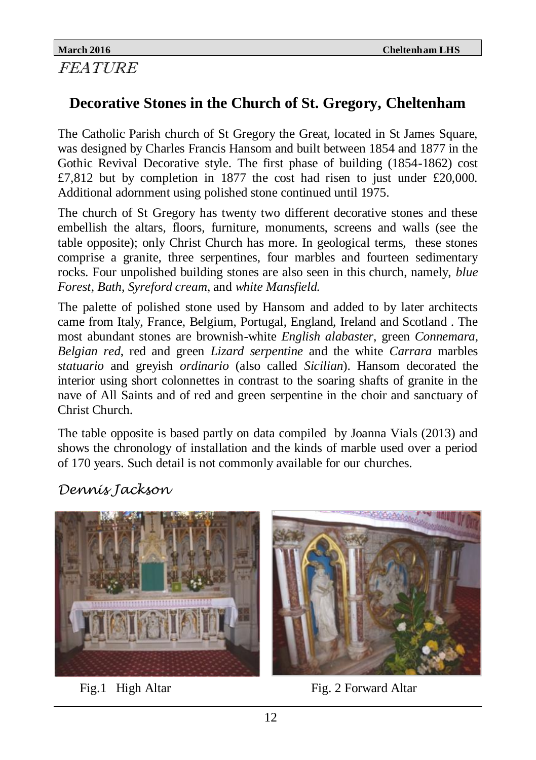#### **March 2016 Cheltenham LHS** FEATURE

# **Decorative Stones in the Church of St. Gregory, Cheltenham**

The Catholic Parish church of St Gregory the Great, located in St James Square, was designed by Charles Francis Hansom and built between 1854 and 1877 in the Gothic Revival Decorative style. The first phase of building (1854-1862) cost £7,812 but by completion in 1877 the cost had risen to just under £20,000. Additional adornment using polished stone continued until 1975.

The church of St Gregory has twenty two different decorative stones and these embellish the altars, floors, furniture, monuments, screens and walls (see the table opposite); only Christ Church has more. In geological terms, these stones comprise a granite, three serpentines, four marbles and fourteen sedimentary rocks. Four unpolished building stones are also seen in this church, namely, *blue Forest*, *Bath*, *Syreford cream*, and *white Mansfield.*

The palette of polished stone used by Hansom and added to by later architects came from Italy, France, Belgium, Portugal, England, Ireland and Scotland . The most abundant stones are brownish-white *English alabaster*, green *Connemara*, *Belgian red*, red and green *Lizard serpentine* and the white *Carrara* marbles *statuario* and greyish *ordinario* (also called *Sicilian*). Hansom decorated the interior using short colonnettes in contrast to the soaring shafts of granite in the nave of All Saints and of red and green serpentine in the choir and sanctuary of Christ Church.

The table opposite is based partly on data compiled by Joanna Vials (2013) and shows the chronology of installation and the kinds of marble used over a period of 170 years. Such detail is not commonly available for our churches.

# *Dennis Jackson*





Fig. 1 High Altar Fig. 2 Forward Altar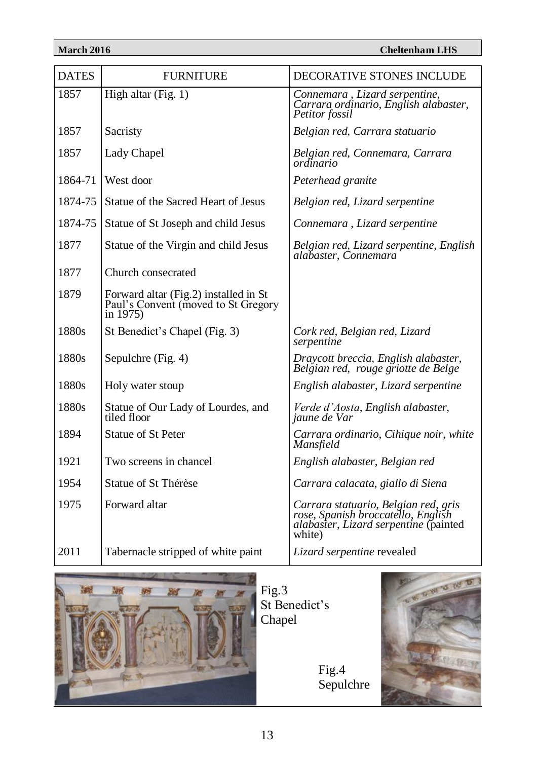| <b>DATES</b> | <b>FURNITURE</b>                                                                          | <b>DECORATIVE STONES INCLUDE</b>                                                                                              |
|--------------|-------------------------------------------------------------------------------------------|-------------------------------------------------------------------------------------------------------------------------------|
| 1857         | High altar (Fig. 1)                                                                       | Connemara, Lizard serpentine,<br>Carrara ordinario, English alabaster,<br>Petitor fossil                                      |
| 1857         | Sacristy                                                                                  | Belgian red, Carrara statuario                                                                                                |
| 1857         | Lady Chapel                                                                               | Belgian red, Connemara, Carrara<br>ordinario                                                                                  |
| 1864-71      | West door                                                                                 | Peterhead granite                                                                                                             |
| 1874-75      | Statue of the Sacred Heart of Jesus                                                       | Belgian red, Lizard serpentine                                                                                                |
| 1874-75      | Statue of St Joseph and child Jesus                                                       | Connemara, Lizard serpentine                                                                                                  |
| 1877         | Statue of the Virgin and child Jesus                                                      | Belgian red, Lizard serpentine, English<br>alabaster, Connemara                                                               |
| 1877         | Church consecrated                                                                        |                                                                                                                               |
| 1879         | Forward altar (Fig.2) installed in St<br>Paul's Convent (moved to St Gregory<br>in $1975$ |                                                                                                                               |
| 1880s        | St Benedict's Chapel (Fig. 3)                                                             | Cork red, Belgian red, Lizard<br>serpentine                                                                                   |
| 1880s        | Sepulchre (Fig. 4)                                                                        | Draycott breccia, English alabaster,<br>Belgian red, rouge griotte de Belge                                                   |
| 1880s        | Holy water stoup                                                                          | English alabaster, Lizard serpentine                                                                                          |
| 1880s        | Statue of Our Lady of Lourdes, and<br>tiled floor                                         | Verde d'Aosta, English alabaster,<br>jaune de Var                                                                             |
| 1894         | <b>Statue of St Peter</b>                                                                 | Carrara ordinario, Cihique noir, white<br>Mansfield                                                                           |
| 1921         | Two screens in chancel                                                                    | English alabaster, Belgian red                                                                                                |
| 1954         | Statue of St Thérèse                                                                      | Carrara calacata, giallo di Siena                                                                                             |
| 1975         | Forward altar                                                                             | Carrara statuario, Belgian red, gris<br>rose, Spanish broccatello, English<br>alabaster, Lizard serpentine (painted<br>white) |
| 2011         | Tabernacle stripped of white paint                                                        | Lizard serpentine revealed                                                                                                    |



Fig.3 St Benedict's Chapel

> Fig.4 Sepulchre

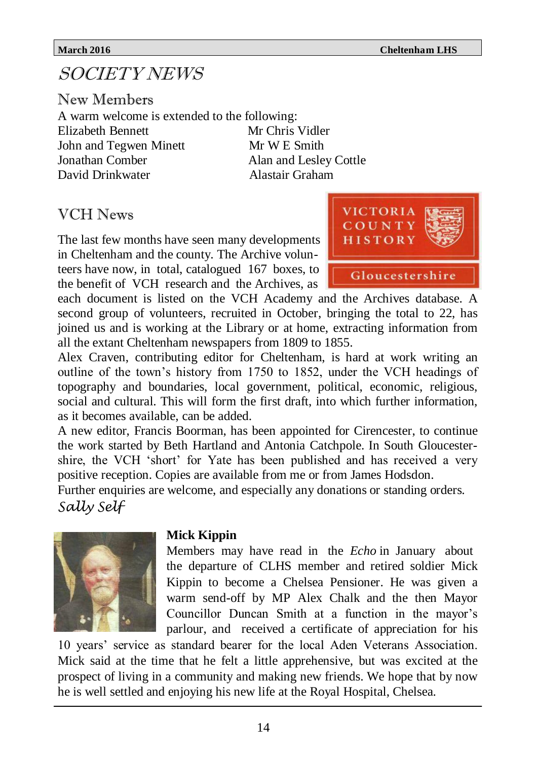# SOCIETY NEWS

New Members A warm welcome is extended to the following: Elizabeth Bennett Mr Chris Vidler John and Tegwen Minett Mr W E Smith Jonathan Comber Alan and Lesley Cottle David Drinkwater Alastair Graham

### VCH News

The last few months have seen many developments in Cheltenham and the county. The Archive volunteers have now, in total, catalogued 167 boxes, to the benefit of VCH research and the Archives, as



each document is listed on the VCH Academy and the Archives database. A second group of volunteers, recruited in October, bringing the total to 22, has joined us and is working at the Library or at home, extracting information from all the extant Cheltenham newspapers from 1809 to 1855.

Alex Craven, contributing editor for Cheltenham, is hard at work writing an outline of the town's history from 1750 to 1852, under the VCH headings of topography and boundaries, local government, political, economic, religious, social and cultural. This will form the first draft, into which further information, as it becomes available, can be added.

A new editor, Francis Boorman, has been appointed for Cirencester, to continue the work started by Beth Hartland and Antonia Catchpole. In South Gloucestershire, the VCH 'short' for Yate has been published and has received a very positive reception. Copies are available from me or from James Hodsdon.

Further enquiries are welcome, and especially any donations or standing orders. *Sally Self*



#### **Mick Kippin**

Members may have read in the *Echo* in January about the departure of CLHS member and retired soldier Mick Kippin to become a Chelsea Pensioner. He was given a warm send-off by MP Alex Chalk and the then Mayor Councillor Duncan Smith at a function in the mayor's parlour, and received a certificate of appreciation for his

10 years' service as standard bearer for the local Aden Veterans Association. Mick said at the time that he felt a little apprehensive, but was excited at the prospect of living in a community and making new friends. We hope that by now he is well settled and enjoying his new life at the Royal Hospital, Chelsea.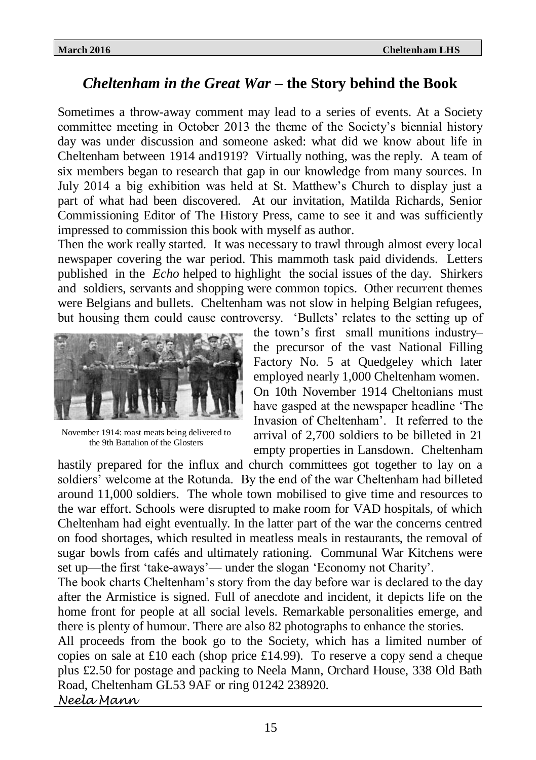# *Cheltenham in the Great War* **– the Story behind the Book**

Sometimes a throw-away comment may lead to a series of events. At a Society committee meeting in October 2013 the theme of the Society's biennial history day was under discussion and someone asked: what did we know about life in Cheltenham between 1914 and1919? Virtually nothing, was the reply. A team of six members began to research that gap in our knowledge from many sources. In July 2014 a big exhibition was held at St. Matthew's Church to display just a part of what had been discovered. At our invitation, Matilda Richards, Senior Commissioning Editor of The History Press, came to see it and was sufficiently impressed to commission this book with myself as author.

Then the work really started. It was necessary to trawl through almost every local newspaper covering the war period. This mammoth task paid dividends. Letters published in the *Echo* helped to highlight the social issues of the day. Shirkers and soldiers, servants and shopping were common topics. Other recurrent themes were Belgians and bullets. Cheltenham was not slow in helping Belgian refugees, but housing them could cause controversy. 'Bullets' relates to the setting up of



November 1914: roast meats being delivered to the 9th Battalion of the Glosters

the town's first small munitions industry– the precursor of the vast National Filling Factory No. 5 at Quedgeley which later employed nearly 1,000 Cheltenham women. On 10th November 1914 Cheltonians must have gasped at the newspaper headline 'The Invasion of Cheltenham'. It referred to the arrival of 2,700 soldiers to be billeted in 21 empty properties in Lansdown. Cheltenham

hastily prepared for the influx and church committees got together to lay on a soldiers' welcome at the Rotunda. By the end of the war Cheltenham had billeted around 11,000 soldiers. The whole town mobilised to give time and resources to the war effort. Schools were disrupted to make room for VAD hospitals, of which Cheltenham had eight eventually. In the latter part of the war the concerns centred on food shortages, which resulted in meatless meals in restaurants, the removal of sugar bowls from cafés and ultimately rationing. Communal War Kitchens were set up—the first 'take-aways'— under the slogan 'Economy not Charity'.

The book charts Cheltenham's story from the day before war is declared to the day after the Armistice is signed. Full of anecdote and incident, it depicts life on the home front for people at all social levels. Remarkable personalities emerge, and there is plenty of humour. There are also 82 photographs to enhance the stories.

All proceeds from the book go to the Society, which has a limited number of copies on sale at £10 each (shop price £14.99). To reserve a copy send a cheque plus £2.50 for postage and packing to Neela Mann, Orchard House, 338 Old Bath Road, Cheltenham GL53 9AF or ring 01242 238920.

*Neela Mann*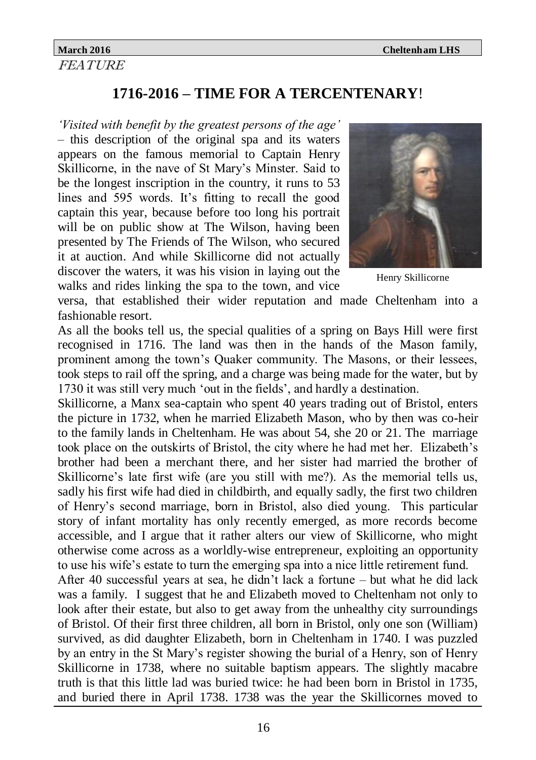FEATURE

# **1716-2016 – TIME FOR A TERCENTENARY**!

*'Visited with benefit by the greatest persons of the age'* – this description of the original spa and its waters appears on the famous memorial to Captain Henry Skillicorne, in the nave of St Mary's Minster. Said to be the longest inscription in the country, it runs to 53 lines and 595 words. It's fitting to recall the good captain this year, because before too long his portrait will be on public show at The Wilson, having been presented by The Friends of The Wilson, who secured it at auction. And while Skillicorne did not actually discover the waters, it was his vision in laying out the walks and rides linking the spa to the town, and vice



Henry Skillicorne

versa, that established their wider reputation and made Cheltenham into a fashionable resort.

As all the books tell us, the special qualities of a spring on Bays Hill were first recognised in 1716. The land was then in the hands of the Mason family, prominent among the town's Quaker community. The Masons, or their lessees, took steps to rail off the spring, and a charge was being made for the water, but by 1730 it was still very much 'out in the fields', and hardly a destination.

Skillicorne, a Manx sea-captain who spent 40 years trading out of Bristol, enters the picture in 1732, when he married Elizabeth Mason, who by then was co-heir to the family lands in Cheltenham. He was about 54, she 20 or 21. The marriage took place on the outskirts of Bristol, the city where he had met her. Elizabeth's brother had been a merchant there, and her sister had married the brother of Skillicorne's late first wife (are you still with me?). As the memorial tells us, sadly his first wife had died in childbirth, and equally sadly, the first two children of Henry's second marriage, born in Bristol, also died young. This particular story of infant mortality has only recently emerged, as more records become accessible, and I argue that it rather alters our view of Skillicorne, who might otherwise come across as a worldly-wise entrepreneur, exploiting an opportunity to use his wife's estate to turn the emerging spa into a nice little retirement fund.

After 40 successful years at sea, he didn't lack a fortune – but what he did lack was a family. I suggest that he and Elizabeth moved to Cheltenham not only to look after their estate, but also to get away from the unhealthy city surroundings of Bristol. Of their first three children, all born in Bristol, only one son (William) survived, as did daughter Elizabeth, born in Cheltenham in 1740. I was puzzled by an entry in the St Mary's register showing the burial of a Henry, son of Henry Skillicorne in 1738, where no suitable baptism appears. The slightly macabre truth is that this little lad was buried twice: he had been born in Bristol in 1735, and buried there in April 1738. 1738 was the year the Skillicornes moved to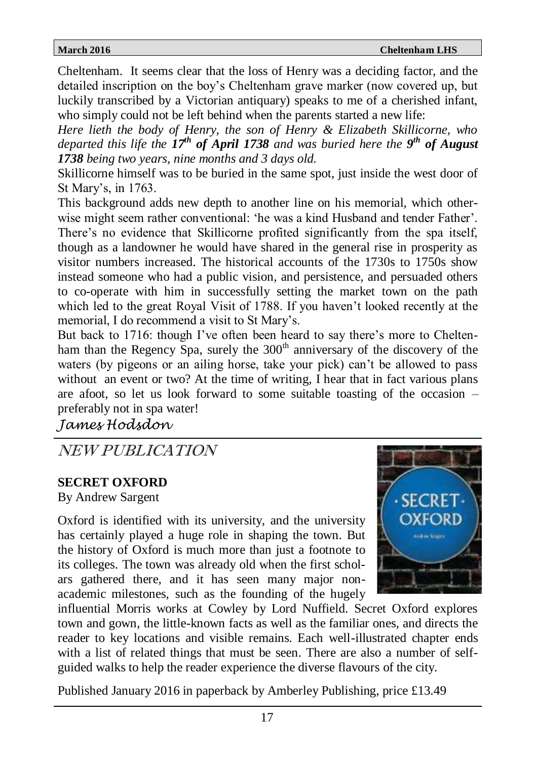Cheltenham. It seems clear that the loss of Henry was a deciding factor, and the detailed inscription on the boy's Cheltenham grave marker (now covered up, but luckily transcribed by a Victorian antiquary) speaks to me of a cherished infant, who simply could not be left behind when the parents started a new life:

*Here lieth the body of Henry, the son of Henry & Elizabeth Skillicorne, who departed this life the 17th of April 1738 and was buried here the 9 th of August 1738 being two years, nine months and 3 days old.*

Skillicorne himself was to be buried in the same spot, just inside the west door of St Mary's, in 1763.

This background adds new depth to another line on his memorial, which otherwise might seem rather conventional: 'he was a kind Husband and tender Father'. There's no evidence that Skillicorne profited significantly from the spa itself, though as a landowner he would have shared in the general rise in prosperity as visitor numbers increased. The historical accounts of the 1730s to 1750s show instead someone who had a public vision, and persistence, and persuaded others to co-operate with him in successfully setting the market town on the path which led to the great Royal Visit of 1788. If you haven't looked recently at the memorial, I do recommend a visit to St Mary's.

But back to 1716: though I've often been heard to say there's more to Cheltenham than the Regency Spa, surely the  $300<sup>th</sup>$  anniversary of the discovery of the waters (by pigeons or an ailing horse, take your pick) can't be allowed to pass without an event or two? At the time of writing, I hear that in fact various plans are afoot, so let us look forward to some suitable toasting of the occasion – preferably not in spa water!

*James Hodsdon*

NEW PUBLICATION

### **SECRET OXFORD**

By Andrew Sargent

Oxford is identified with its university, and the university has certainly played a huge role in shaping the town. But the history of Oxford is much more than just a footnote to its colleges. The town was already old when the first scholars gathered there, and it has seen many major nonacademic milestones, such as the founding of the hugely



influential Morris works at Cowley by Lord Nuffield. Secret Oxford explores town and gown, the little-known facts as well as the familiar ones, and directs the reader to key locations and visible remains. Each well-illustrated chapter ends with a list of related things that must be seen. There are also a number of selfguided walks to help the reader experience the diverse flavours of the city.

Published January 2016 in paperback by Amberley Publishing, price £13.49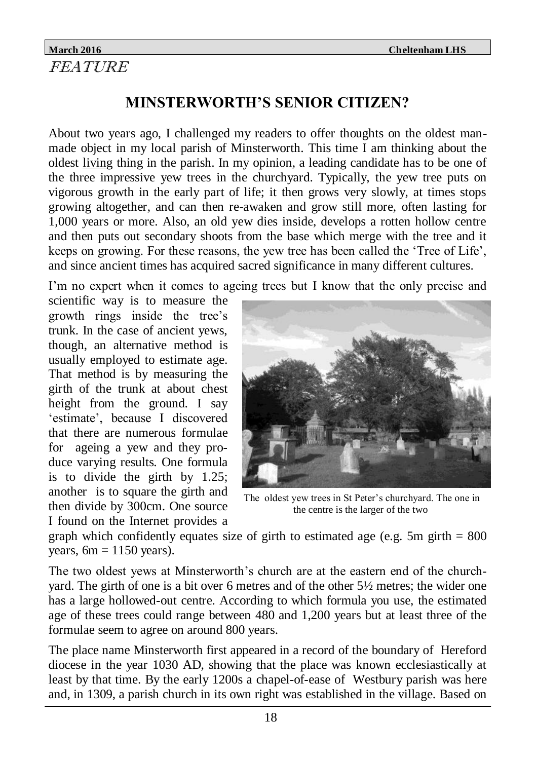### **March 2016 Cheltenham LHS** FEATURE

# **MINSTERWORTH'S SENIOR CITIZEN?**

About two years ago, I challenged my readers to offer thoughts on the oldest manmade object in my local parish of Minsterworth. This time I am thinking about the oldest living thing in the parish. In my opinion, a leading candidate has to be one of the three impressive yew trees in the churchyard. Typically, the yew tree puts on vigorous growth in the early part of life; it then grows very slowly, at times stops growing altogether, and can then re-awaken and grow still more, often lasting for 1,000 years or more. Also, an old yew dies inside, develops a rotten hollow centre and then puts out secondary shoots from the base which merge with the tree and it keeps on growing. For these reasons, the yew tree has been called the 'Tree of Life', and since ancient times has acquired sacred significance in many different cultures.

I'm no expert when it comes to ageing trees but I know that the only precise and

scientific way is to measure the growth rings inside the tree's trunk. In the case of ancient yews, though, an alternative method is usually employed to estimate age. That method is by measuring the girth of the trunk at about chest height from the ground. I say 'estimate', because I discovered that there are numerous formulae for ageing a yew and they produce varying results. One formula is to divide the girth by 1.25; another is to square the girth and then divide by 300cm. One source I found on the Internet provides a



The oldest yew trees in St Peter's churchyard. The one in the centre is the larger of the two

graph which confidently equates size of girth to estimated age (e.g. 5m girth  $= 800$ ) years,  $6m = 1150$  years).

The two oldest yews at Minsterworth's church are at the eastern end of the churchyard. The girth of one is a bit over 6 metres and of the other 5½ metres; the wider one has a large hollowed-out centre. According to which formula you use, the estimated age of these trees could range between 480 and 1,200 years but at least three of the formulae seem to agree on around 800 years.

The place name Minsterworth first appeared in a record of the boundary of Hereford diocese in the year 1030 AD, showing that the place was known ecclesiastically at least by that time. By the early 1200s a chapel-of-ease of Westbury parish was here and, in 1309, a parish church in its own right was established in the village. Based on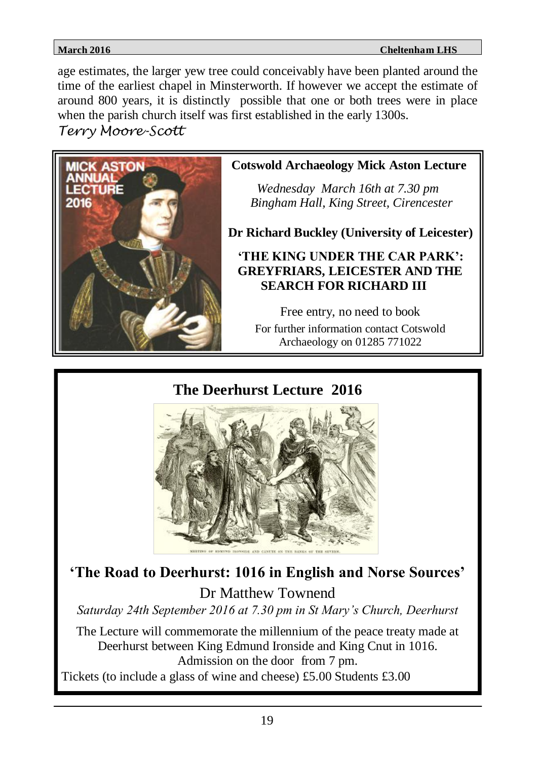age estimates, the larger yew tree could conceivably have been planted around the time of the earliest chapel in Minsterworth. If however we accept the estimate of around 800 years, it is distinctly possible that one or both trees were in place when the parish church itself was first established in the early 1300s.

*Terry Moore-Scott*



**Cotswold Archaeology Mick Aston Lecture**

 *Wednesday March 16th at 7.30 pm Bingham Hall, King Street, Cirencester*

**Dr Richard Buckley (University of Leicester)**

### **'THE KING UNDER THE CAR PARK': GREYFRIARS, LEICESTER AND THE SEARCH FOR RICHARD III**

Free entry, no need to book For further information contact Cotswold Archaeology on 01285 771022

**The Deerhurst Lecture 2016**



**'The Road to Deerhurst: 1016 in English and Norse Sources'** Dr Matthew Townend

*Saturday 24th September 2016 at 7.30 pm in St Mary's Church, Deerhurst*

The Lecture will commemorate the millennium of the peace treaty made at Deerhurst between King Edmund Ironside and King Cnut in 1016. Admission on the door from 7 pm. Tickets (to include a glass of wine and cheese) £5.00 Students £3.00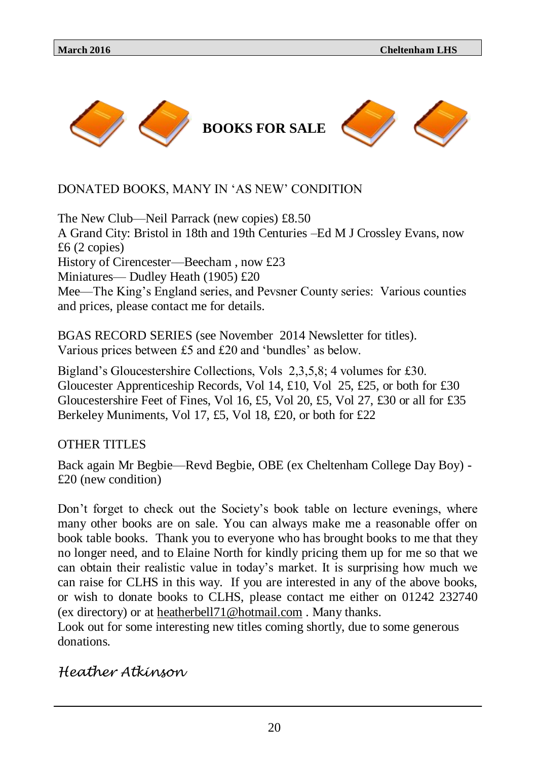### DONATED BOOKS, MANY IN 'AS NEW' CONDITION

The New Club—Neil Parrack (new copies) £8.50 A Grand City: Bristol in 18th and 19th Centuries –Ed M J Crossley Evans, now £6 (2 copies) History of Cirencester—Beecham , now £23 Miniatures— Dudley Heath (1905) £20 Mee—The King's England series, and Pevsner County series: Various counties and prices, please contact me for details.

BGAS RECORD SERIES (see November 2014 Newsletter for titles). Various prices between £5 and £20 and 'bundles' as below.

Bigland's Gloucestershire Collections, Vols 2,3,5,8; 4 volumes for £30. Gloucester Apprenticeship Records, Vol 14, £10, Vol 25, £25, or both for £30 Gloucestershire Feet of Fines, Vol 16, £5, Vol 20, £5, Vol 27, £30 or all for £35 Berkeley Muniments, Vol 17, £5, Vol 18, £20, or both for £22

OTHER TITLES

Back again Mr Begbie—Revd Begbie, OBE (ex Cheltenham College Day Boy) - £20 (new condition)

Don't forget to check out the Society's book table on lecture evenings, where many other books are on sale. You can always make me a reasonable offer on book table books. Thank you to everyone who has brought books to me that they no longer need, and to Elaine North for kindly pricing them up for me so that we can obtain their realistic value in today's market. It is surprising how much we can raise for CLHS in this way. If you are interested in any of the above books, or wish to donate books to CLHS, please contact me either on 01242 232740 (ex directory) or at [heatherbell71@hotmail.com](mailto:heatherbell71@hotmail.com) . Many thanks.

Look out for some interesting new titles coming shortly, due to some generous donations.

*Heather Atkinson*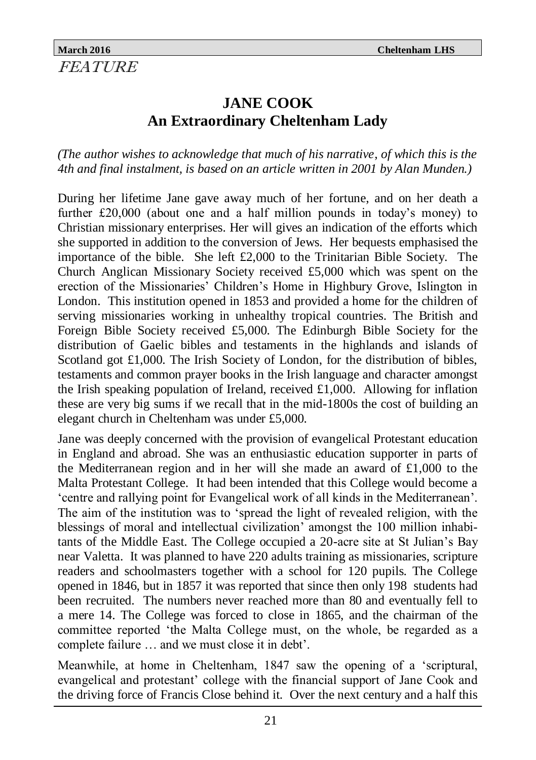# **JANE COOK An Extraordinary Cheltenham Lady**

*(The author wishes to acknowledge that much of his narrative*, *of which this is the 4th and final instalment, is based on an article written in 2001 by Alan Munden.)*

During her lifetime Jane gave away much of her fortune, and on her death a further £20,000 (about one and a half million pounds in today's money) to Christian missionary enterprises. Her will gives an indication of the efforts which she supported in addition to the conversion of Jews. Her bequests emphasised the importance of the bible. She left £2,000 to the Trinitarian Bible Society. The Church Anglican Missionary Society received £5,000 which was spent on the erection of the Missionaries' Children's Home in Highbury Grove, Islington in London. This institution opened in 1853 and provided a home for the children of serving missionaries working in unhealthy tropical countries. The British and Foreign Bible Society received £5,000. The Edinburgh Bible Society for the distribution of Gaelic bibles and testaments in the highlands and islands of Scotland got £1,000. The Irish Society of London, for the distribution of bibles, testaments and common prayer books in the Irish language and character amongst the Irish speaking population of Ireland, received  $\pounds1,000$ . Allowing for inflation these are very big sums if we recall that in the mid-1800s the cost of building an elegant church in Cheltenham was under £5,000.

Jane was deeply concerned with the provision of evangelical Protestant education in England and abroad. She was an enthusiastic education supporter in parts of the Mediterranean region and in her will she made an award of  $\pounds1,000$  to the Malta Protestant College. It had been intended that this College would become a 'centre and rallying point for Evangelical work of all kinds in the Mediterranean'. The aim of the institution was to 'spread the light of revealed religion, with the blessings of moral and intellectual civilization' amongst the 100 million inhabitants of the Middle East. The College occupied a 20-acre site at St Julian's Bay near Valetta. It was planned to have 220 adults training as missionaries, scripture readers and schoolmasters together with a school for 120 pupils. The College opened in 1846, but in 1857 it was reported that since then only 198 students had been recruited. The numbers never reached more than 80 and eventually fell to a mere 14. The College was forced to close in 1865, and the chairman of the committee reported 'the Malta College must, on the whole, be regarded as a complete failure … and we must close it in debt'.

Meanwhile, at home in Cheltenham, 1847 saw the opening of a 'scriptural, evangelical and protestant' college with the financial support of Jane Cook and the driving force of Francis Close behind it. Over the next century and a half this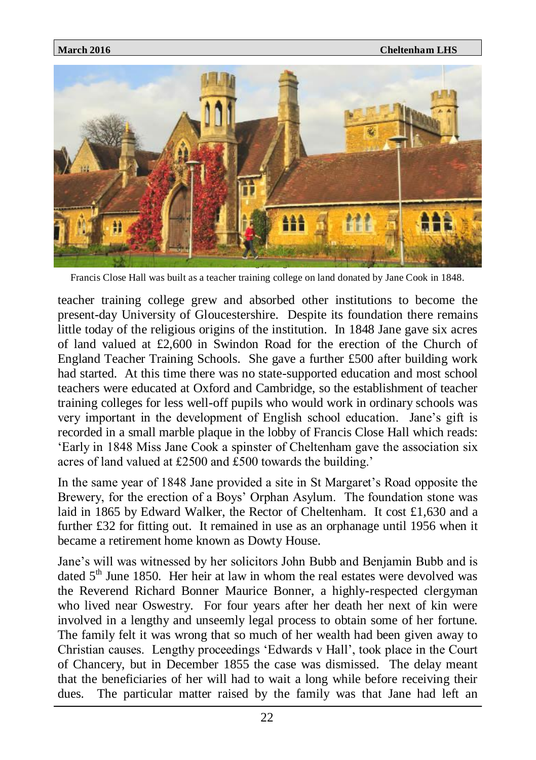

Francis Close Hall was built as a teacher training college on land donated by Jane Cook in 1848.

teacher training college grew and absorbed other institutions to become the present-day University of Gloucestershire. Despite its foundation there remains little today of the religious origins of the institution. In 1848 Jane gave six acres of land valued at £2,600 in Swindon Road for the erection of the Church of England Teacher Training Schools. She gave a further £500 after building work had started. At this time there was no state-supported education and most school teachers were educated at Oxford and Cambridge, so the establishment of teacher training colleges for less well-off pupils who would work in ordinary schools was very important in the development of English school education. Jane's gift is recorded in a small marble plaque in the lobby of Francis Close Hall which reads: 'Early in 1848 Miss Jane Cook a spinster of Cheltenham gave the association six acres of land valued at £2500 and £500 towards the building.'

In the same year of 1848 Jane provided a site in St Margaret's Road opposite the Brewery, for the erection of a Boys' Orphan Asylum. The foundation stone was laid in 1865 by Edward Walker, the Rector of Cheltenham. It cost £1,630 and a further £32 for fitting out. It remained in use as an orphanage until 1956 when it became a retirement home known as Dowty House.

Jane's will was witnessed by her solicitors John Bubb and Benjamin Bubb and is dated  $5<sup>th</sup>$  June 1850. Her heir at law in whom the real estates were devolved was the Reverend Richard Bonner Maurice Bonner, a highly-respected clergyman who lived near Oswestry. For four years after her death her next of kin were involved in a lengthy and unseemly legal process to obtain some of her fortune. The family felt it was wrong that so much of her wealth had been given away to Christian causes. Lengthy proceedings 'Edwards v Hall', took place in the Court of Chancery, but in December 1855 the case was dismissed. The delay meant that the beneficiaries of her will had to wait a long while before receiving their dues. The particular matter raised by the family was that Jane had left an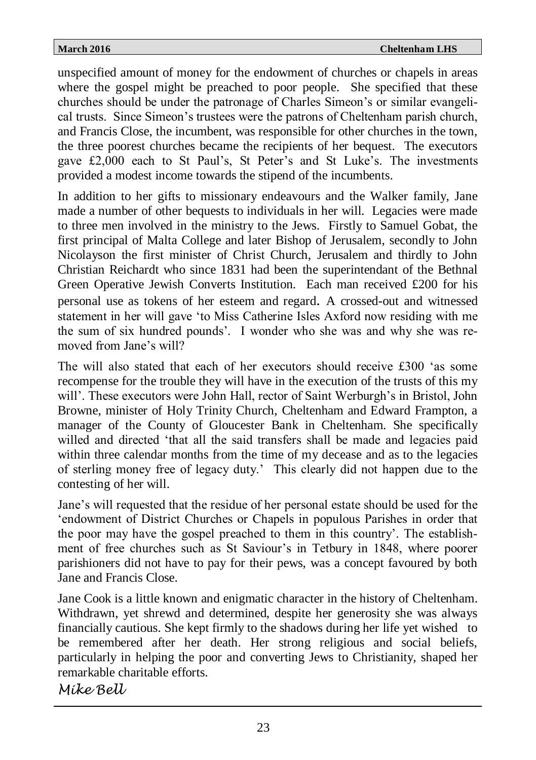unspecified amount of money for the endowment of churches or chapels in areas where the gospel might be preached to poor people. She specified that these churches should be under the patronage of Charles Simeon's or similar evangelical trusts. Since Simeon's trustees were the patrons of Cheltenham parish church, and Francis Close, the incumbent, was responsible for other churches in the town, the three poorest churches became the recipients of her bequest. The executors gave £2,000 each to St Paul's, St Peter's and St Luke's. The investments provided a modest income towards the stipend of the incumbents.

In addition to her gifts to missionary endeavours and the Walker family, Jane made a number of other bequests to individuals in her will. Legacies were made to three men involved in the ministry to the Jews. Firstly to Samuel Gobat, the first principal of Malta College and later Bishop of Jerusalem, secondly to John Nicolayson the first minister of Christ Church, Jerusalem and thirdly to John Christian Reichardt who since 1831 had been the superintendant of the Bethnal Green Operative Jewish Converts Institution. Each man received £200 for his personal use as tokens of her esteem and regard. A crossed-out and witnessed statement in her will gave 'to Miss Catherine Isles Axford now residing with me the sum of six hundred pounds'. I wonder who she was and why she was removed from Jane's will?

The will also stated that each of her executors should receive £300 'as some recompense for the trouble they will have in the execution of the trusts of this my will'. These executors were John Hall, rector of Saint Werburgh's in Bristol, John Browne, minister of Holy Trinity Church, Cheltenham and Edward Frampton, a manager of the County of Gloucester Bank in Cheltenham. She specifically willed and directed 'that all the said transfers shall be made and legacies paid within three calendar months from the time of my decease and as to the legacies of sterling money free of legacy duty.' This clearly did not happen due to the contesting of her will.

Jane's will requested that the residue of her personal estate should be used for the 'endowment of District Churches or Chapels in populous Parishes in order that the poor may have the gospel preached to them in this country'. The establishment of free churches such as St Saviour's in Tetbury in 1848, where poorer parishioners did not have to pay for their pews, was a concept favoured by both Jane and Francis Close.

Jane Cook is a little known and enigmatic character in the history of Cheltenham. Withdrawn, yet shrewd and determined, despite her generosity she was always financially cautious. She kept firmly to the shadows during her life yet wished to be remembered after her death. Her strong religious and social beliefs, particularly in helping the poor and converting Jews to Christianity, shaped her remarkable charitable efforts.

*Mike Bell*